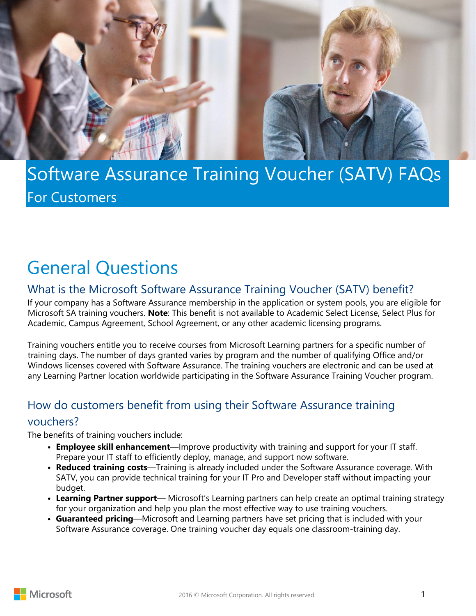



# Software Assurance Training Voucher (SATV) FAQs For Customers

# General Questions

## What is the Microsoft Software Assurance Training Voucher (SATV) benefit?

If your company has a Software Assurance membership in the application or system pools, you are eligible for Microsoft SA training vouchers. **Note**: This benefit is not available to Academic Select License, Select Plus for Academic, Campus Agreement, School Agreement, or any other academic licensing programs.

Training vouchers entitle you to receive courses from Microsoft Learning partners for a specific number of training days. The number of days granted varies by program and the number of qualifying Office and/or Windows licenses covered with Software Assurance. The training vouchers are electronic and can be used at any Learning Partner location worldwide participating in the Software Assurance Training Voucher program.

### How do customers benefit from using their Software Assurance training

#### vouchers?

The benefits of training vouchers include:

- **• Employee skill enhancement**—Improve productivity with training and support for your IT staff. Prepare your IT staff to efficiently deploy, manage, and support now software.
- **• Reduced training costs**—Training is already included under the Software Assurance coverage. With SATV, you can provide technical training for your IT Pro and Developer staff without impacting your budget.
- **• Learning Partner support** Microsoft's Learning partners can help create an optimal training strategy for your organization and help you plan the most effective way to use training vouchers.
- **• Guaranteed pricing**—Microsoft and Learning partners have set pricing that is included with your Software Assurance coverage. One training voucher day equals one classroom-training day.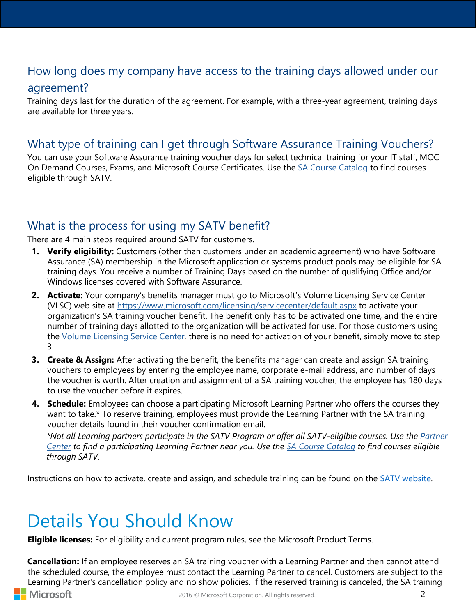## How long does my company have access to the training days allowed under our

#### agreement?

Training days last for the duration of the agreement. For example, with a three-year agreement, training days are available for three years.

### What type of training can I get through Software Assurance Training Vouchers?

You can use your Software Assurance training voucher days for select technical training for your IT staff, MOC On Demand Courses, Exams, and Microsoft Course Certificates. Use the [SA Course Catalog](https://aka.ms/satv_catalog) to find courses eligible through SATV.

### What is the process for using my SATV benefit?

There are 4 main steps required around SATV for customers.

- **1. Verify eligibility:** Customers (other than customers under an academic agreement) who have Software Assurance (SA) membership in the Microsoft application or systems product pools may be eligible for SA training days. You receive a number of Training Days based on the number of qualifying Office and/or Windows licenses covered with Software Assurance.
- **2. Activate:** Your company's benefits manager must go to Microsoft's Volume Licensing Service Center (VLSC) web site at<https://www.microsoft.com/licensing/servicecenter/default.aspx> to activate your organization's SA training voucher benefit. The benefit only has to be activated one time, and the entire number of training days allotted to the organization will be activated for use. For those customers using the [Volume Licensing Service Center,](https://licensing.microsoft.com/Customer/) there is no need for activation of your benefit, simply move to step 3.
- **3. Create & Assign:** After activating the benefit, the benefits manager can create and assign SA training vouchers to employees by entering the employee name, corporate e-mail address, and number of days the voucher is worth. After creation and assignment of a SA training voucher, the employee has 180 days to use the voucher before it expires.
- **4. Schedule:** Employees can choose a participating Microsoft Learning Partner who offers the courses they want to take.\* To reserve training, employees must provide the Learning Partner with the SA training voucher details found in their voucher confirmation email.

*\*Not all Learning partners participate in the SATV Program or offer all SATV-eligible courses. Use the [Partner](https://partnercenter.microsoft.com/en-us/pcv/search?customFilters=curatedLists,learning)  Center [t](http://www.microsoft.com/learning/en/us/classlocator.aspx)o find a participating Learning Partner near you. Use the [SA Course Catalog](https://aka.ms/satv_catalog) to find courses eligible through SATV.*

Instructions on how to activate, create and assign, and schedule training can be found on th[e SATV website.](https://trainingbenefits.partners.extranet.microsoft.com/en/SATV/Pages/CreateVoucher.aspx)

# Details You Should Know

**Eligible licenses:** For eligibility and current program rules, see the Microsoft Product Terms.

**Cancellation:** If an employee reserves an SA training voucher with a Learning Partner and then cannot attend the scheduled course, the employee must contact the Learning Partner to cancel. Customers are subject to the Learning Partner's cancellation policy and no show policies. If the reserved training is canceled, the SA training